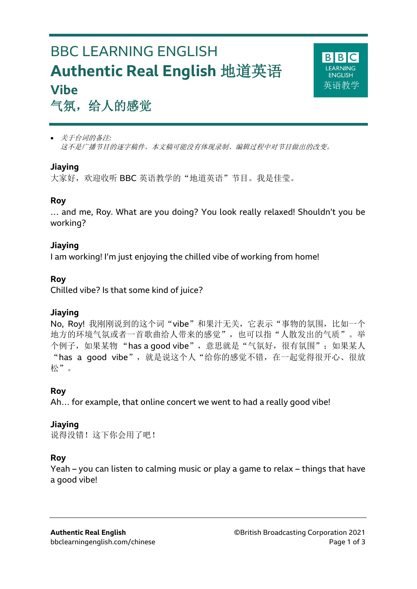# BBC LEARNING ENGLISH **Authentic Real English** 地道英语 **Vibe**



## 气氛,给人的感觉

 关于台词的备注*:* 这不是广播节目的逐字稿件。本文稿可能没有体现录制、编辑过程中对节目做出的改变。

### **Jiaying**

l

大家好,欢迎收听 BBC 英语教学的"地道英语"节目。我是佳莹。

#### **Roy**

… and me, Roy. What are you doing? You look really relaxed! Shouldn't you be working?

#### **Jiaying**

I am working! I'm just enjoying the chilled vibe of working from home!

#### **Roy**

Chilled vibe? Is that some kind of juice?

#### **Jiaying**

No, Roy! 我刚刚说到的这个词"vibe"和果汁无关, 它表示"事物的氛围, 比如一个 地方的环境气氛或者一首歌曲给人带来的感觉",也可以指"人散发出的气质"。举 个例子,如果某物"has a good vibe",意思就是"气氛好,很有氛围";如果某人 "has a good vibe", 就是说这个人"给你的感觉不错, 在一起觉得很开心、很放 松"。

## **Roy**

Ah… for example, that online concert we went to had a really good vibe!

#### **Jiaying**

说得没错!这下你会用了吧!

#### **Roy**

Yeah – you can listen to calming music or play a game to relax – things that have a good vibe!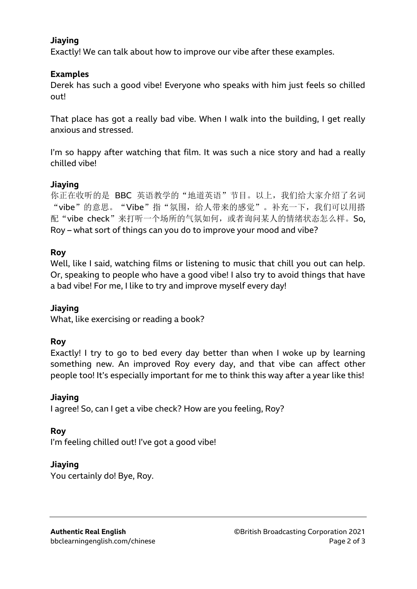#### **Jiaying**

Exactly! We can talk about how to improve our vibe after these examples.

#### **Examples**

Derek has such a good vibe! Everyone who speaks with him just feels so chilled out!

That place has got a really bad vibe. When I walk into the building, I get really anxious and stressed.

I'm so happy after watching that film. It was such a nice story and had a really chilled vibe!

#### **Jiaying**

你正在收听的是 BBC 英语教学的"地道英语"节目。以上,我们给大家介绍了名词 "vibe"的意思。"Vibe"指"氛围,给人带来的感觉"。补充一下,我们可以用搭 配"vibe check"来打听一个场所的气氛如何,或者询问某人的情绪状态怎么样。So. Roy – what sort of things can you do to improve your mood and vibe?

#### **Roy**

Well, like I said, watching films or listening to music that chill you out can help. Or, speaking to people who have a good vibe! I also try to avoid things that have a bad vibe! For me, I like to try and improve myself every day!

#### **Jiaying**

What, like exercising or reading a book?

#### **Roy**

Exactly! I try to go to bed every day better than when I woke up by learning something new. An improved Roy every day, and that vibe can affect other people too! It's especially important for me to think this way after a year like this!

#### **Jiaying**

I agree! So, can I get a vibe check? How are you feeling, Roy?

#### **Roy**

I'm feeling chilled out! I've got a good vibe!

#### **Jiaying**

You certainly do! Bye, Roy.